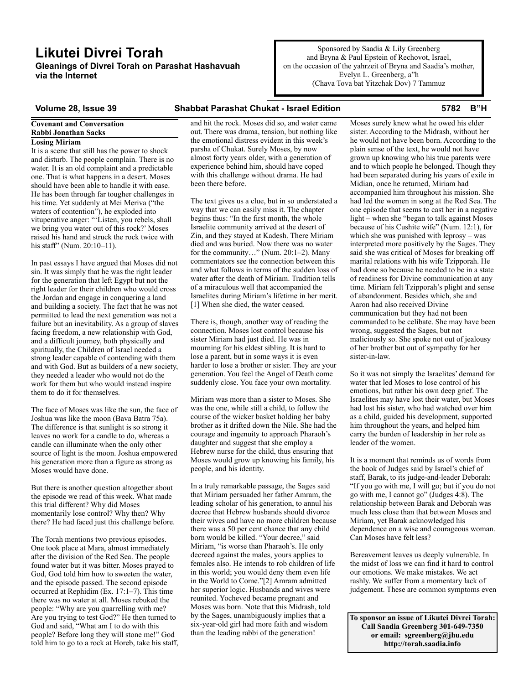# **Likutei Divrei Torah**

**Gleanings of Divrei Torah on Parashat Hashavuah via the Internet**

Sponsored by Saadia & Lily Greenberg and Bryna & Paul Epstein of Rechovot, Israel, on the occasion of the yahrzeit of Bryna and Saadia's mother, Evelyn L. Greenberg, a"h (Chava Tova bat Yitzchak Dov) 7 Tammuz

# **Volume 28, Issue 39 Shabbat Parashat Chukat - Israel Edition 5782 B"H**

# **Covenant and Conversation Rabbi Jonathan Sacks**

**Losing Miriam**

It is a scene that still has the power to shock and disturb. The people complain. There is no water. It is an old complaint and a predictable one. That is what happens in a desert. Moses should have been able to handle it with ease. He has been through far tougher challenges in his time. Yet suddenly at Mei Meriva ("the waters of contention"), he exploded into vituperative anger: "'Listen, you rebels, shall we bring you water out of this rock?' Moses raised his hand and struck the rock twice with his staff" (Num. 20:10-11).

In past essays I have argued that Moses did not sin. It was simply that he was the right leader for the generation that left Egypt but not the right leader for their children who would cross the Jordan and engage in conquering a land and building a society. The fact that he was not permitted to lead the next generation was not a failure but an inevitability. As a group of slaves facing freedom, a new relationship with God, and a difficult journey, both physically and spiritually, the Children of Israel needed a strong leader capable of contending with them and with God. But as builders of a new society, they needed a leader who would not do the work for them but who would instead inspire them to do it for themselves.

The face of Moses was like the sun, the face of Joshua was like the moon (Bava Batra 75a). The difference is that sunlight is so strong it leaves no work for a candle to do, whereas a candle can illuminate when the only other source of light is the moon. Joshua empowered his generation more than a figure as strong as Moses would have done.

But there is another question altogether about the episode we read of this week. What made this trial different? Why did Moses momentarily lose control? Why then? Why there? He had faced just this challenge before.

The Torah mentions two previous episodes. One took place at Mara, almost immediately after the division of the Red Sea. The people found water but it was bitter. Moses prayed to God, God told him how to sweeten the water, and the episode passed. The second episode occurred at Rephidim (Ex. 17:1–7). This time there was no water at all. Moses rebuked the people: "Why are you quarrelling with me? Are you trying to test God?" He then turned to God and said, "What am I to do with this people? Before long they will stone me!" God told him to go to a rock at Horeb, take his staff, and hit the rock. Moses did so, and water came out. There was drama, tension, but nothing like the emotional distress evident in this week's parsha of Chukat. Surely Moses, by now almost forty years older, with a generation of experience behind him, should have coped with this challenge without drama. He had been there before.

The text gives us a clue, but in so understated a way that we can easily miss it. The chapter begins thus: "In the first month, the whole Israelite community arrived at the desert of Zin, and they stayed at Kadesh. There Miriam died and was buried. Now there was no water for the community…" (Num. 20:1–2). Many commentators see the connection between this and what follows in terms of the sudden loss of water after the death of Miriam. Tradition tells of a miraculous well that accompanied the Israelites during Miriam's lifetime in her merit. [1] When she died, the water ceased.

There is, though, another way of reading the connection. Moses lost control because his sister Miriam had just died. He was in mourning for his eldest sibling. It is hard to lose a parent, but in some ways it is even harder to lose a brother or sister. They are your generation. You feel the Angel of Death come suddenly close. You face your own mortality.

Miriam was more than a sister to Moses. She was the one, while still a child, to follow the course of the wicker basket holding her baby brother as it drifted down the Nile. She had the courage and ingenuity to approach Pharaoh's daughter and suggest that she employ a Hebrew nurse for the child, thus ensuring that Moses would grow up knowing his family, his people, and his identity.

In a truly remarkable passage, the Sages said that Miriam persuaded her father Amram, the leading scholar of his generation, to annul his decree that Hebrew husbands should divorce their wives and have no more children because there was a 50 per cent chance that any child born would be killed. "Your decree," said Miriam, "is worse than Pharaoh's. He only decreed against the males, yours applies to females also. He intends to rob children of life in this world; you would deny them even life in the World to Come."[2] Amram admitted her superior logic. Husbands and wives were reunited. Yocheved became pregnant and Moses was born. Note that this Midrash, told by the Sages, unambiguously implies that a six-year-old girl had more faith and wisdom than the leading rabbi of the generation!

Moses surely knew what he owed his elder sister. According to the Midrash, without her he would not have been born. According to the plain sense of the text, he would not have grown up knowing who his true parents were and to which people he belonged. Though they had been separated during his years of exile in Midian, once he returned, Miriam had accompanied him throughout his mission. She had led the women in song at the Red Sea. The one episode that seems to cast her in a negative light – when she "began to talk against Moses because of his Cushite wife" (Num. 12:1), for which she was punished with leprosy – was interpreted more positively by the Sages. They said she was critical of Moses for breaking off marital relations with his wife Tzipporah. He had done so because he needed to be in a state of readiness for Divine communication at any time. Miriam felt Tzipporah's plight and sense of abandonment. Besides which, she and Aaron had also received Divine communication but they had not been commanded to be celibate. She may have been wrong, suggested the Sages, but not maliciously so. She spoke not out of jealousy of her brother but out of sympathy for her sister-in-law.

So it was not simply the Israelites' demand for water that led Moses to lose control of his emotions, but rather his own deep grief. The Israelites may have lost their water, but Moses had lost his sister, who had watched over him as a child, guided his development, supported him throughout the years, and helped him carry the burden of leadership in her role as leader of the women.

It is a moment that reminds us of words from the book of Judges said by Israel's chief of staff, Barak, to its judge-and-leader Deborah: "If you go with me, I will go; but if you do not go with me, I cannot go" (Judges 4:8). The relationship between Barak and Deborah was much less close than that between Moses and Miriam, yet Barak acknowledged his dependence on a wise and courageous woman. Can Moses have felt less?

Bereavement leaves us deeply vulnerable. In the midst of loss we can find it hard to control our emotions. We make mistakes. We act rashly. We suffer from a momentary lack of judgement. These are common symptoms even

**To sponsor an issue of Likutei Divrei Torah: Call Saadia Greenberg 301-649-7350 or email: sgreenberg@jhu.edu http://torah.saadia.info**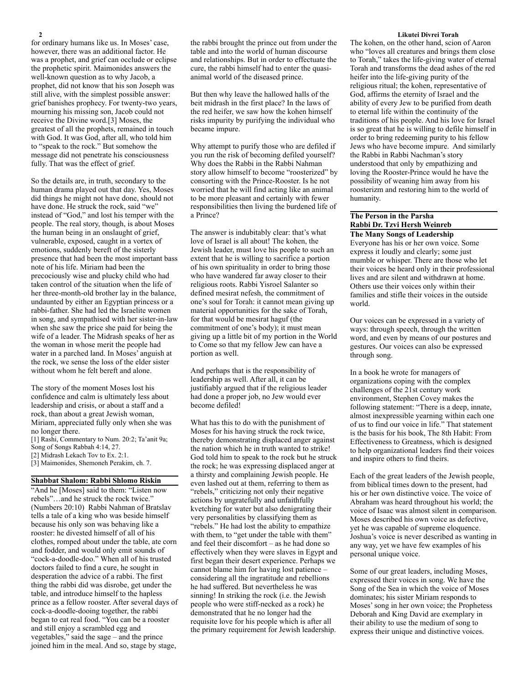for ordinary humans like us. In Moses' case, however, there was an additional factor. He was a prophet, and grief can occlude or eclipse the prophetic spirit. Maimonides answers the well-known question as to why Jacob, a prophet, did not know that his son Joseph was still alive, with the simplest possible answer: grief banishes prophecy. For twenty-two years, mourning his missing son, Jacob could not receive the Divine word.[3] Moses, the greatest of all the prophets, remained in touch with God. It was God, after all, who told him to "speak to the rock." But somehow the message did not penetrate his consciousness fully. That was the effect of grief.

So the details are, in truth, secondary to the human drama played out that day. Yes, Moses did things he might not have done, should not have done. He struck the rock, said "we" instead of "God," and lost his temper with the people. The real story, though, is about Moses the human being in an onslaught of grief, vulnerable, exposed, caught in a vortex of emotions, suddenly bereft of the sisterly presence that had been the most important bass note of his life. Miriam had been the precociously wise and plucky child who had taken control of the situation when the life of her three-month-old brother lay in the balance, undaunted by either an Egyptian princess or a rabbi-father. She had led the Israelite women in song, and sympathised with her sister-in-law when she saw the price she paid for being the wife of a leader. The Midrash speaks of her as the woman in whose merit the people had water in a parched land. In Moses' anguish at the rock, we sense the loss of the elder sister without whom he felt bereft and alone.

The story of the moment Moses lost his confidence and calm is ultimately less about leadership and crisis, or about a staff and a rock, than about a great Jewish woman, Miriam, appreciated fully only when she was no longer there.

[1] Rashi, Commentary to Num. 20:2; Ta'anit 9a; Song of Songs Rabbah 4:14, 27. [2] Midrash Lekach Tov to Ex. 2:1.

[3] Maimonides, Shemoneh Perakim, ch. 7.

## **Shabbat Shalom: Rabbi Shlomo Riskin**

"And he [Moses] said to them: "Listen now rebels"…and he struck the rock twice." (Numbers 20:10) Rabbi Nahman of Bratslav tells a tale of a king who was beside himself because his only son was behaving like a rooster: he divested himself of all of his clothes, romped about under the table, ate corn and fodder, and would only emit sounds of "cock-a-doodle-doo." When all of his trusted doctors failed to find a cure, he sought in desperation the advice of a rabbi. The first thing the rabbi did was disrobe, get under the table, and introduce himself to the hapless prince as a fellow rooster. After several days of cock-a-doodle-dooing together, the rabbi began to eat real food. "You can be a rooster and still enjoy a scrambled egg and vegetables," said the sage – and the prince joined him in the meal. And so, stage by stage,

the rabbi brought the prince out from under the table and into the world of human discourse and relationships. But in order to effectuate the cure, the rabbi himself had to enter the quasianimal world of the diseased prince.

But then why leave the hallowed halls of the beit midrash in the first place? In the laws of the red heifer, we saw how the kohen himself risks impurity by purifying the individual who became impure.

Why attempt to purify those who are defiled if you run the risk of becoming defiled yourself? Why does the Rabbi in the Rabbi Nahman story allow himself to become "roosterized" by consorting with the Prince-Rooster. Is he not worried that he will find acting like an animal to be more pleasant and certainly with fewer responsibilities then living the burdened life of a Prince?

The answer is indubitably clear: that's what love of Israel is all about! The kohen, the Jewish leader, must love his people to such an extent that he is willing to sacrifice a portion of his own spirituality in order to bring those who have wandered far away closer to their religious roots. Rabbi Yisroel Salanter so defined mesirat nefesh, the commitment of one's soul for Torah: it cannot mean giving up material opportunities for the sake of Torah, for that would be mesirat haguf (the commitment of one's body); it must mean giving up a little bit of my portion in the World to Come so that my fellow Jew can have a portion as well.

And perhaps that is the responsibility of leadership as well. After all, it can be justifiably argued that if the religious leader had done a proper job, no Jew would ever become defiled!

What has this to do with the punishment of Moses for his having struck the rock twice, thereby demonstrating displaced anger against the nation which he in truth wanted to strike! God told him to speak to the rock but he struck the rock; he was expressing displaced anger at a thirsty and complaining Jewish people. He even lashed out at them, referring to them as "rebels," criticizing not only their negative actions by ungratefully and unfaithfully kvetching for water but also denigrating their very personalities by classifying them as "rebels." He had lost the ability to empathize with them, to "get under the table with them" and feel their discomfort – as he had done so effectively when they were slaves in Egypt and first began their desert experience. Perhaps we cannot blame him for having lost patience – considering all the ingratitude and rebellions he had suffered. But nevertheless he was sinning! In striking the rock (i.e. the Jewish people who were stiff-necked as a rock) he demonstrated that he no longer had the requisite love for his people which is after all the primary requirement for Jewish leadership.

### **2 Likutei Divrei Torah**

The kohen, on the other hand, scion of Aaron who "loves all creatures and brings them close to Torah," takes the life-giving water of eternal Torah and transforms the dead ashes of the red heifer into the life-giving purity of the religious ritual; the kohen, representative of God, affirms the eternity of Israel and the ability of every Jew to be purified from death to eternal life within the continuity of the traditions of his people. And his love for Israel is so great that he is willing to defile himself in order to bring redeeming purity to his fellow Jews who have become impure. And similarly the Rabbi in Rabbi Nachman's story understood that only by empathizing and loving the Rooster-Prince would he have the possibility of weaning him away from his roosterizm and restoring him to the world of humanity.

# **The Person in the Parsha Rabbi Dr. Tzvi Hersh Weinreb**

**The Many Songs of Leadership** Everyone has his or her own voice. Some express it loudly and clearly; some just mumble or whisper. There are those who let their voices be heard only in their professional lives and are silent and withdrawn at home. Others use their voices only within their families and stifle their voices in the outside world.

Our voices can be expressed in a variety of ways: through speech, through the written word, and even by means of our postures and gestures. Our voices can also be expressed through song.

In a book he wrote for managers of organizations coping with the complex challenges of the 21st century work environment, Stephen Covey makes the following statement: "There is a deep, innate, almost inexpressible yearning within each one of us to find our voice in life." That statement is the basis for his book, The 8th Habit: From Effectiveness to Greatness, which is designed to help organizational leaders find their voices and inspire others to find theirs.

Each of the great leaders of the Jewish people, from biblical times down to the present, had his or her own distinctive voice. The voice of Abraham was heard throughout his world; the voice of Isaac was almost silent in comparison. Moses described his own voice as defective, yet he was capable of supreme eloquence. Joshua's voice is never described as wanting in any way, yet we have few examples of his personal unique voice.

Some of our great leaders, including Moses, expressed their voices in song. We have the Song of the Sea in which the voice of Moses dominates; his sister Miriam responds to Moses' song in her own voice; the Prophetess Deborah and King David are exemplary in their ability to use the medium of song to express their unique and distinctive voices.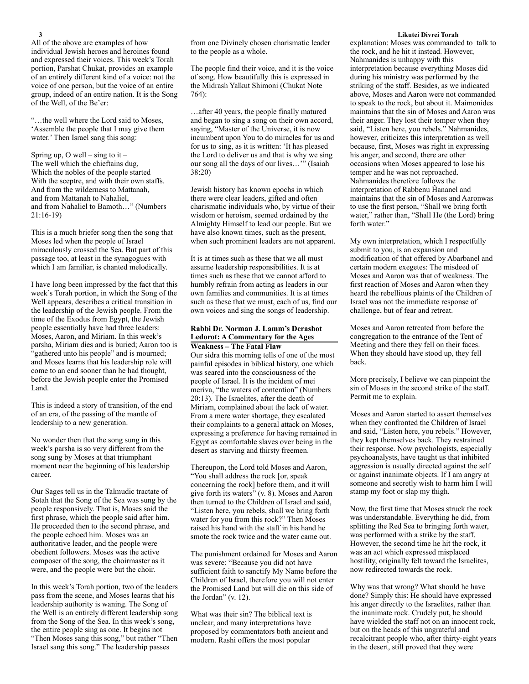and expressed their voices. This week's Torah portion, Parshat Chukat, provides an example of an entirely different kind of a voice: not the voice of one person, but the voice of an entire group, indeed of an entire nation. It is the Song of the Well, of the Be'er:

"…the well where the Lord said to Moses, 'Assemble the people that I may give them water.' Then Israel sang this song:

Spring up, O well – sing to it – The well which the chieftains dug, Which the nobles of the people started With the sceptre, and with their own staffs. And from the wilderness to Mattanah, and from Mattanah to Nahaliel, and from Nahaliel to Bamoth…" (Numbers 21:16-19)

This is a much briefer song then the song that Moses led when the people of Israel miraculously crossed the Sea. But part of this passage too, at least in the synagogues with which I am familiar, is chanted melodically.

I have long been impressed by the fact that this week's Torah portion, in which the Song of the Well appears, describes a critical transition in the leadership of the Jewish people. From the time of the Exodus from Egypt, the Jewish people essentially have had three leaders: Moses, Aaron, and Miriam. In this week's parsha, Miriam dies and is buried; Aaron too is "gathered unto his people" and is mourned; and Moses learns that his leadership role will come to an end sooner than he had thought, before the Jewish people enter the Promised Land.

This is indeed a story of transition, of the end of an era, of the passing of the mantle of leadership to a new generation.

No wonder then that the song sung in this week's parsha is so very different from the song sung by Moses at that triumphant moment near the beginning of his leadership career.

Our Sages tell us in the Talmudic tractate of Sotah that the Song of the Sea was sung by the people responsively. That is, Moses said the first phrase, which the people said after him. He proceeded then to the second phrase, and the people echoed him. Moses was an authoritative leader, and the people were obedient followers. Moses was the active composer of the song, the choirmaster as it were, and the people were but the choir.

In this week's Torah portion, two of the leaders pass from the scene, and Moses learns that his leadership authority is waning. The Song of the Well is an entirely different leadership song from the Song of the Sea. In this week's song, the entire people sing as one. It begins not "Then Moses sang this song," but rather "Then Israel sang this song." The leadership passes

from one Divinely chosen charismatic leader to the people as a whole.

The people find their voice, and it is the voice of song. How beautifully this is expressed in the Midrash Yalkut Shimoni (Chukat Note  $764$ 

…after 40 years, the people finally matured and began to sing a song on their own accord, saying, "Master of the Universe, it is now incumbent upon You to do miracles for us and for us to sing, as it is written: 'It has pleased the Lord to deliver us and that is why we sing our song all the days of our lives..." (Isaiah 38:20)

Jewish history has known epochs in which there were clear leaders, gifted and often charismatic individuals who, by virtue of their wisdom or heroism, seemed ordained by the Almighty Himself to lead our people. But we have also known times, such as the present, when such prominent leaders are not apparent.

It is at times such as these that we all must assume leadership responsibilities. It is at times such as these that we cannot afford to humbly refrain from acting as leaders in our own families and communities. It is at times such as these that we must, each of us, find our own voices and sing the songs of leadership.

# **Rabbi Dr. Norman J. Lamm's Derashot Ledorot: A Commentary for the Ages Weakness – The Fatal Flaw**

Our sidra this morning tells of one of the most painful episodes in biblical history, one which was seared into the consciousness of the people of Israel. It is the incident of mei meriva, "the waters of contention" (Numbers 20:13). The Israelites, after the death of Miriam, complained about the lack of water. From a mere water shortage, they escalated their complaints to a general attack on Moses, expressing a preference for having remained in Egypt as comfortable slaves over being in the desert as starving and thirsty freemen.

Thereupon, the Lord told Moses and Aaron, "You shall address the rock [or, speak concerning the rock] before them, and it will give forth its waters" (v. 8). Moses and Aaron then turned to the Children of Israel and said, "Listen here, you rebels, shall we bring forth water for you from this rock?" Then Moses raised his hand with the staff in his hand he smote the rock twice and the water came out.

The punishment ordained for Moses and Aaron was severe: "Because you did not have sufficient faith to sanctify My Name before the Children of Israel, therefore you will not enter the Promised Land but will die on this side of the Jordan" (v. 12).

What was their sin? The biblical text is unclear, and many interpretations have proposed by commentators both ancient and modern. Rashi offers the most popular

### **3 Likutei Divrei Torah**

explanation: Moses was commanded to talk to the rock, and he hit it instead. However, Nahmanides is unhappy with this interpretation because everything Moses did during his ministry was performed by the striking of the staff. Besides, as we indicated above, Moses and Aaron were not commanded to speak to the rock, but about it. Maimonides maintains that the sin of Moses and Aaron was their anger. They lost their temper when they said, "Listen here, you rebels." Nahmanides, however, criticizes this interpretation as well because, first, Moses was right in expressing his anger, and second, there are other occasions when Moses appeared to lose his temper and he was not reproached. Nahmanides therefore follows the interpretation of Rabbenu Ĥananel and maintains that the sin of Moses and Aaronwas to use the first person, "Shall we bring forth water," rather than, "Shall He (the Lord) bring forth water."

My own interpretation, which I respectfully submit to you, is an expansion and modification of that offered by Abarbanel and certain modern exegetes: The misdeed of Moses and Aaron was that of weakness. The first reaction of Moses and Aaron when they heard the rebellious plaints of the Children of Israel was not the immediate response of challenge, but of fear and retreat.

Moses and Aaron retreated from before the congregation to the entrance of the Tent of Meeting and there they fell on their faces. When they should have stood up, they fell back.

More precisely, I believe we can pinpoint the sin of Moses in the second strike of the staff. Permit me to explain.

Moses and Aaron started to assert themselves when they confronted the Children of Israel and said, "Listen here, you rebels." However, they kept themselves back. They restrained their response. Now psychologists, especially psychoanalysts, have taught us that inhibited aggression is usually directed against the self or against inanimate objects. If I am angry at someone and secretly wish to harm him I will stamp my foot or slap my thigh.

Now, the first time that Moses struck the rock was understandable. Everything he did, from splitting the Red Sea to bringing forth water, was performed with a strike by the staff. However, the second time he hit the rock, it was an act which expressed misplaced hostility, originally felt toward the Israelites, now redirected towards the rock.

Why was that wrong? What should he have done? Simply this: He should have expressed his anger directly to the Israelites, rather than the inanimate rock. Crudely put, he should have wielded the staff not on an innocent rock, but on the heads of this ungrateful and recalcitrant people who, after thirty-eight years in the desert, still proved that they were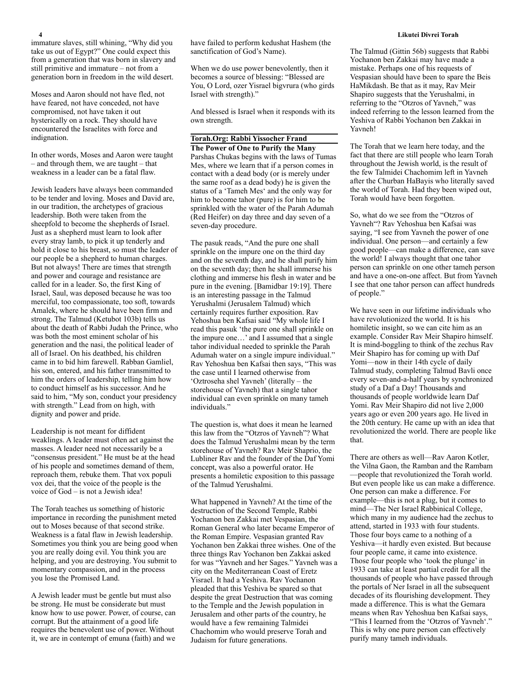immature slaves, still whining, "Why did you take us out of Egypt?" One could expect this from a generation that was born in slavery and still primitive and immature – not from a generation born in freedom in the wild desert.

Moses and Aaron should not have fled, not have feared, not have conceded, not have compromised, not have taken it out hysterically on a rock. They should have encountered the Israelites with force and indignation.

In other words, Moses and Aaron were taught – and through them, we are taught – that weakness in a leader can be a fatal flaw.

Jewish leaders have always been commanded to be tender and loving. Moses and David are, in our tradition, the archetypes of gracious leadership. Both were taken from the sheepfold to become the shepherds of Israel. Just as a shepherd must learn to look after every stray lamb, to pick it up tenderly and hold it close to his breast, so must the leader of our people be a shepherd to human charges. But not always! There are times that strength and power and courage and resistance are called for in a leader. So, the first King of Israel, Saul, was deposed because he was too merciful, too compassionate, too soft, towards Amalek, where he should have been firm and strong. The Talmud (Ketubot 103b) tells us about the death of Rabbi Judah the Prince, who was both the most eminent scholar of his generation and the nasi, the political leader of all of Israel. On his deathbed, his children came in to bid him farewell. Rabban Gamliel, his son, entered, and his father transmitted to him the orders of leadership, telling him how to conduct himself as his successor. And he said to him, "My son, conduct your presidency with strength." Lead from on high, with dignity and power and pride.

Leadership is not meant for diffident weaklings. A leader must often act against the masses. A leader need not necessarily be a "consensus president." He must be at the head of his people and sometimes demand of them, reproach them, rebuke them. That vox populi vox dei, that the voice of the people is the voice of God – is not a Jewish idea!

The Torah teaches us something of historic importance in recording the punishment meted out to Moses because of that second strike. Weakness is a fatal flaw in Jewish leadership. Sometimes you think you are being good when you are really doing evil. You think you are helping, and you are destroying. You submit to momentary compassion, and in the process you lose the Promised Land.

A Jewish leader must be gentle but must also be strong. He must be considerate but must know how to use power. Power, of course, can corrupt. But the attainment of a good life requires the benevolent use of power. Without it, we are in contempt of emuna (faith) and we have failed to perform kedushat Hashem (the sanctification of God's Name).

When we do use power benevolently, then it becomes a source of blessing: "Blessed are You, O Lord, ozer Yisrael bigvrura (who girds Israel with strength)."

And blessed is Israel when it responds with its own strength.

# **Torah.Org: Rabbi Yissocher Frand**

**The Power of One to Purify the Many** Parshas Chukas begins with the laws of Tumas Mes, where we learn that if a person comes in contact with a dead body (or is merely under the same roof as a dead body) he is given the status of a 'Tameh Mes' and the only way for him to become tahor (pure) is for him to be sprinkled with the water of the Parah Adumah (Red Heifer) on day three and day seven of a seven-day procedure.

The pasuk reads, "And the pure one shall sprinkle on the impure one on the third day and on the seventh day, and he shall purify him on the seventh day; then he shall immerse his clothing and immerse his flesh in water and be pure in the evening. [Bamidbar 19:19]. There is an interesting passage in the Talmud Yerushalmi (Jerusalem Talmud) which certainly requires further exposition. Rav Yehoshua ben Kafsai said "My whole life I read this pasuk 'the pure one shall sprinkle on the impure one…' and I assumed that a single tahor individual needed to sprinkle the Parah Adumah water on a single impure individual." Rav Yehoshua ben Kafsai then says, "This was the case until I learned otherwise from 'Oztroseha shel Yavneh' (literally – the storehouse of Yavneh) that a single tahor individual can even sprinkle on many tameh individuals."

The question is, what does it mean he learned this law from the "Otzros of Yavneh"? What does the Talmud Yerushalmi mean by the term storehouse of Yavneh? Rav Meir Shaprio, the Lubliner Rav and the founder of the Daf Yomi concept, was also a powerful orator. He presents a homiletic exposition to this passage of the Talmud Yerushalmi.

What happened in Yavneh? At the time of the destruction of the Second Temple, Rabbi Yochanon ben Zakkai met Vespasian, the Roman General who later became Emperor of the Roman Empire. Vespasian granted Rav Yochanon ben Zakkai three wishes. One of the three things Rav Yochanon ben Zakkai asked for was "Yavneh and her Sages." Yavneh was a city on the Mediterranean Coast of Eretz Yisrael. It had a Yeshiva. Rav Yochanon pleaded that this Yeshiva be spared so that despite the great Destruction that was coming to the Temple and the Jewish population in Jerusalem and other parts of the country, he would have a few remaining Talmidei Chachomim who would preserve Torah and Judaism for future generations.

The Talmud (Gittin 56b) suggests that Rabbi Yochanon ben Zakkai may have made a mistake. Perhaps one of his requests of Vespasian should have been to spare the Beis HaMikdash. Be that as it may, Rav Meir Shapiro suggests that the Yerushalmi, in referring to the "Otzros of Yavneh," was indeed referring to the lesson learned from the Yeshiva of Rabbi Yochanon ben Zakkai in Yavneh!

The Torah that we learn here today, and the fact that there are still people who learn Torah throughout the Jewish world, is the result of the few Talmidei Chachomim left in Yavneh after the Churban HaBayis who literally saved the world of Torah. Had they been wiped out, Torah would have been forgotten.

So, what do we see from the "Otzros of Yavneh"? Rav Yehoshua ben Kafsai was saying, "I see from Yavneh the power of one individual. One person—and certainly a few good people—can make a difference, can save the world! I always thought that one tahor person can sprinkle on one other tameh person and have a one-on-one affect. But from Yavneh I see that one tahor person can affect hundreds of people."

We have seen in our lifetime individuals who have revolutionized the world. It is his homiletic insight, so we can cite him as an example. Consider Rav Meir Shapiro himself. It is mind-boggling to think of the zechus Rav Meir Shapiro has for coming up with Daf Yomi—now in their 14th cycle of daily Talmud study, completing Talmud Bavli once every seven-and-a-half years by synchronized study of a Daf a Day! Thousands and thousands of people worldwide learn Daf Yomi. Rav Meir Shapiro did not live 2,000 years ago or even 200 years ago. He lived in the 20th century. He came up with an idea that revolutionized the world. There are people like that.

There are others as well—Rav Aaron Kotler, the Vilna Gaon, the Ramban and the Rambam —people that revolutionized the Torah world. But even people like us can make a difference. One person can make a difference. For example—this is not a plug, but it comes to mind—The Ner Israel Rabbinical College, which many in my audience had the zechus to attend, started in 1933 with four students. Those four boys came to a nothing of a Yeshiva—it hardly even existed. But because four people came, it came into existence. Those four people who 'took the plunge' in 1933 can take at least partial credit for all the thousands of people who have passed through the portals of Ner Israel in all the subsequent decades of its flourishing development. They made a difference. This is what the Gemara means when Rav Yehoshua ben Kafsai says, "This I learned from the 'Otzros of Yavneh'." This is why one pure person can effectively purify many tameh individuals.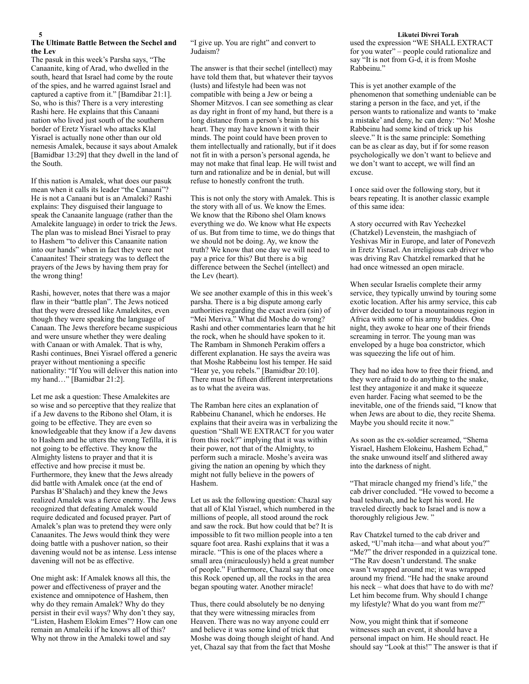# **The Ultimate Battle Between the Sechel and the Lev**

The pasuk in this week's Parsha says, "The Canaanite, king of Arad, who dwelled in the south, heard that Israel had come by the route of the spies, and he warred against Israel and captured a captive from it." [Bamdibar 21:1]. So, who is this? There is a very interesting Rashi here. He explains that this Canaani nation who lived just south of the southern border of Eretz Yisrael who attacks Klal Yisrael is actually none other than our old nemesis Amalek, because it says about Amalek [Bamidbar 13:29] that they dwell in the land of the South.

If this nation is Amalek, what does our pasuk mean when it calls its leader "the Canaani"? He is not a Canaani but is an Amaleki? Rashi explains: They disguised their language to speak the Canaanite language (rather than the Amalekite language) in order to trick the Jews. The plan was to mislead Bnei Yisrael to pray to Hashem "to deliver this Canaanite nation into our hands" when in fact they were not Canaanites! Their strategy was to deflect the prayers of the Jews by having them pray for the wrong thing!

Rashi, however, notes that there was a major flaw in their "battle plan". The Jews noticed that they were dressed like Amalekites, even though they were speaking the language of Canaan. The Jews therefore became suspicious and were unsure whether they were dealing with Canaan or with Amalek. That is why, Rashi continues, Bnei Yisrael offered a generic prayer without mentioning a specific nationality: "If You will deliver this nation into my hand…" [Bamidbar 21:2].

Let me ask a question: These Amalekites are so wise and so perceptive that they realize that if a Jew davens to the Ribono shel Olam, it is going to be effective. They are even so knowledgeable that they know if a Jew davens to Hashem and he utters the wrong Tefilla, it is not going to be effective. They know the Almighty listens to prayer and that it is effective and how precise it must be. Furthermore, they knew that the Jews already did battle with Amalek once (at the end of Parshas B'Shalach) and they knew the Jews realized Amalek was a fierce enemy. The Jews recognized that defeating Amalek would require dedicated and focused prayer. Part of Amalek's plan was to pretend they were only Canaanites. The Jews would think they were doing battle with a pushover nation, so their davening would not be as intense. Less intense davening will not be as effective.

One might ask: If Amalek knows all this, the power and effectiveness of prayer and the existence and omnipotence of Hashem, then why do they remain Amalek? Why do they persist in their evil ways? Why don't they say, "Listen, Hashem Elokim Emes"? How can one remain an Amaleiki if he knows all of this? Why not throw in the Amaleki towel and say

"I give up. You are right" and convert to Judaism?

The answer is that their sechel (intellect) may have told them that, but whatever their tayvos (lusts) and lifestyle had been was not compatible with being a Jew or being a Shomer Mitzvos. I can see something as clear as day right in front of my hand, but there is a long distance from a person's brain to his heart. They may have known it with their minds. The point could have been proven to them intellectually and rationally, but if it does not fit in with a person's personal agenda, he may not make that final leap. He will twist and turn and rationalize and be in denial, but will refuse to honestly confront the truth.

This is not only the story with Amalek. This is the story with all of us. We know the Emes. We know that the Ribono shel Olam knows everything we do. We know what He expects of us. But from time to time, we do things that we should not be doing. Ay, we know the truth? We know that one day we will need to pay a price for this? But there is a big difference between the Sechel (intellect) and the Lev (heart).

We see another example of this in this week's parsha. There is a big dispute among early authorities regarding the exact aveira (sin) of "Mei Meriva." What did Moshe do wrong? Rashi and other commentaries learn that he hit the rock, when he should have spoken to it. The Rambam in Shmoneh Perakim offers a different explanation. He says the aveira was that Moshe Rabbeinu lost his temper. He said "Hear ye, you rebels." [Bamidbar 20:10]. There must be fifteen different interpretations as to what the aveira was.

The Ramban here cites an explanation of Rabbeinu Chananel, which he endorses. He explains that their aveira was in verbalizing the question "Shall WE EXTRACT for you water from this rock?" implying that it was within their power, not that of the Almighty, to perform such a miracle. Moshe's aveira was giving the nation an opening by which they might not fully believe in the powers of Hashem.

Let us ask the following question: Chazal say that all of Klal Yisrael, which numbered in the millions of people, all stood around the rock and saw the rock. But how could that be? It is impossible to fit two million people into a ten square foot area. Rashi explains that it was a miracle. "This is one of the places where a small area (miraculously) held a great number of people." Furthermore, Chazal say that once this Rock opened up, all the rocks in the area began spouting water. Another miracle!

Thus, there could absolutely be no denying that they were witnessing miracles from Heaven. There was no way anyone could err and believe it was some kind of trick that Moshe was doing though sleight of hand. And yet, Chazal say that from the fact that Moshe

### **5 Likutei Divrei Torah**

used the expression "WE SHALL EXTRACT for you water" – people could rationalize and say "It is not from G-d, it is from Moshe Rabbeinu."

This is yet another example of the phenomenon that something undeniable can be staring a person in the face, and yet, if the person wants to rationalize and wants to 'make a mistake' and deny, he can deny: "No! Moshe Rabbeinu had some kind of trick up his sleeve." It is the same principle: Something can be as clear as day, but if for some reason psychologically we don't want to believe and we don't want to accept, we will find an excuse.

I once said over the following story, but it bears repeating. It is another classic example of this same idea:

A story occurred with Rav Yechezkel (Chatzkel) Levenstein, the mashgiach of Yeshivas Mir in Europe, and later of Ponevezh in Eretz Yisrael. An irreligious cab driver who was driving Rav Chatzkel remarked that he had once witnessed an open miracle.

When secular Israelis complete their army service, they typically unwind by touring some exotic location. After his army service, this cab driver decided to tour a mountainous region in Africa with some of his army buddies. One night, they awoke to hear one of their friends screaming in terror. The young man was enveloped by a huge boa constrictor, which was squeezing the life out of him.

They had no idea how to free their friend, and they were afraid to do anything to the snake, lest they antagonize it and make it squeeze even harder. Facing what seemed to be the inevitable, one of the friends said, "I know that when Jews are about to die, they recite Shema. Maybe you should recite it now."

As soon as the ex-soldier screamed, "Shema Yisrael, Hashem Elokeinu, Hashem Echad," the snake unwound itself and slithered away into the darkness of night.

"That miracle changed my friend's life," the cab driver concluded. "He vowed to become a baal teshuvah, and he kept his word. He traveled directly back to Israel and is now a thoroughly religious Jew. "

Rav Chatzkel turned to the cab driver and asked, "U'mah itcha—and what about you?" "Me?" the driver responded in a quizzical tone. "The Rav doesn't understand. The snake wasn't wrapped around me; it was wrapped around my friend. "He had the snake around his neck – what does that have to do with me? Let him become frum. Why should I change my lifestyle? What do you want from me?"

Now, you might think that if someone witnesses such an event, it should have a personal impact on him. He should react. He should say "Look at this!" The answer is that if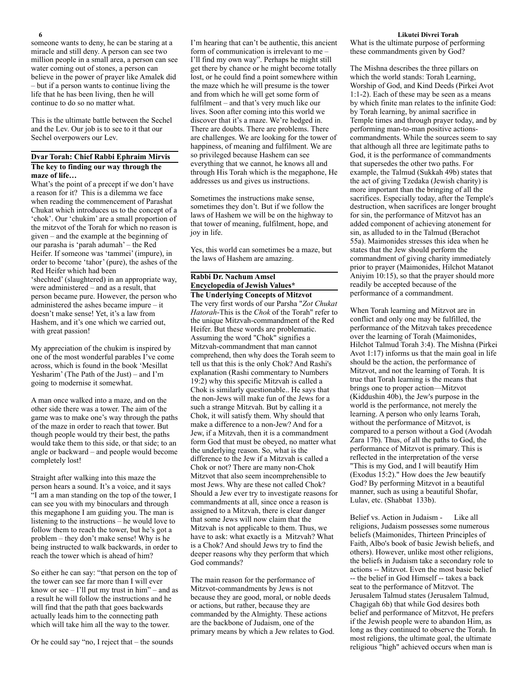someone wants to deny, he can be staring at a miracle and still deny. A person can see two million people in a small area, a person can see water coming out of stones, a person can believe in the power of prayer like Amalek did – but if a person wants to continue living the life that he has been living, then he will continue to do so no matter what.

This is the ultimate battle between the Sechel and the Lev. Our job is to see to it that our Sechel overpowers our Lev.

# **Dvar Torah: Chief Rabbi Ephraim Mirvis The key to finding our way through the maze of life…**

What's the point of a precept if we don't have a reason for it? This is a dilemma we face when reading the commencement of Parashat Chukat which introduces us to the concept of a 'chok'. Our 'chukim' are a small proportion of the mitzvot of the Torah for which no reason is given – and the example at the beginning of our parasha is 'parah adumah' – the Red Heifer. If someone was 'tammei' (impure), in order to become 'tahor' (pure), the ashes of the Red Heifer which had been 'shechted' (slaughtered) in an appropriate way, were administered – and as a result, that person became pure. However, the person who administered the ashes became impure – it doesn't make sense! Yet, it's a law from Hashem, and it's one which we carried out,

My appreciation of the chukim is inspired by one of the most wonderful parables I've come across, which is found in the book 'Mesillat Yesharim' (The Path of the Just) – and I'm going to modernise it somewhat.

with great passion!

A man once walked into a maze, and on the other side there was a tower. The aim of the game was to make one's way through the paths of the maze in order to reach that tower. But though people would try their best, the paths would take them to this side, or that side; to an angle or backward – and people would become completely lost!

Straight after walking into this maze the person hears a sound. It's a voice, and it says "I am a man standing on the top of the tower, I can see you with my binoculars and through this megaphone I am guiding you. The man is listening to the instructions – he would love to follow them to reach the tower, but he's got a problem – they don't make sense! Why is he being instructed to walk backwards, in order to reach the tower which is ahead of him?

So either he can say: "that person on the top of the tower can see far more than I will ever know or  $\sec - 1$ 'll put my trust in him" – and as a result he will follow the instructions and he will find that the path that goes backwards actually leads him to the connecting path which will take him all the way to the tower.

Or he could say "no, I reject that – the sounds

I'm hearing that can't be authentic, this ancient form of communication is irrelevant to me – I'll find my own way". Perhaps he might still get there by chance or he might become totally lost, or he could find a point somewhere within the maze which he will presume is the tower and from which he will get some form of fulfilment – and that's very much like our lives. Soon after coming into this world we discover that it's a maze. We're hedged in. There are doubts. There are problems. There are challenges. We are looking for the tower of happiness, of meaning and fulfilment. We are so privileged because Hashem can see everything that we cannot, he knows all and through His Torah which is the megaphone, He addresses us and gives us instructions.

Sometimes the instructions make sense, sometimes they don't. But if we follow the laws of Hashem we will be on the highway to that tower of meaning, fulfilment, hope, and joy in life.

Yes, this world can sometimes be a maze, but the laws of Hashem are amazing.

# **Rabbi Dr. Nachum Amsel Encyclopedia of Jewish Values\* The Underlying Concepts of Mitzvot**

The very first words of our Parsha "*Zot Chukat Hatorah*-This is the *Chok* of the Torah" refer to the unique Mitzvah-commandment of the Red Heifer. But these words are problematic. Assuming the word "Chok" signifies a Mitzvah-commandment that man cannot comprehend, then why does the Torah seem to tell us that this is the only Chok? And Rashi's explanation (Rashi commentary to Numbers 19:2) why this specific Mitzvah is called a Chok is similarly questionable.. He says that the non-Jews will make fun of the Jews for a such a strange Mitzvah. But by calling it a Chok, it will satisfy them. Why should that make a difference to a non-Jew? And for a Jew, if a Mitzvah, then it is a commandment form God that must be obeyed, no matter what the underlying reason. So, what is the difference to the Jew if a Mitzvah is called a Chok or not? There are many non-Chok Mitzvot that also seem incomprehensible to most Jews. Why are these not called Chok? Should a Jew ever try to investigate reasons for commandments at all, since once a reason is assigned to a Mitzvah, there is clear danger that some Jews will now claim that the Mitzvah is not applicable to them. Thus, we have to ask: what exactly is a Mitzvah? What is a Chok? And should Jews try to find the deeper reasons why they perform that which God commands?

The main reason for the performance of Mitzvot-commandments by Jews is not because they are good, moral, or noble deeds or actions, but rather, because they are commanded by the Almighty. These actions are the backbone of Judaism, one of the primary means by which a Jew relates to God.

# **6 Likutei Divrei Torah**

What is the ultimate purpose of performing these commandments given by God?

The Mishna describes the three pillars on which the world stands: Torah Learning, Worship of God, and Kind Deeds (Pirkei Avot 1:1-2). Each of these may be seen as a means by which finite man relates to the infinite God: by Torah learning, by animal sacrifice in Temple times and through prayer today, and by performing man-to-man positive actionscommandments. While the sources seem to say that although all three are legitimate paths to God, it is the performance of commandments that supersedes the other two paths. For example, the Talmud (Sukkah 49b) states that the act of giving Tzedaka (Jewish charity) is more important than the bringing of all the sacrifices. Especially today, after the Temple's destruction, when sacrifices are longer brought for sin, the performance of Mitzvot has an added component of achieving atonement for sin, as alluded to in the Talmud (Berachot 55a). Maimonides stresses this idea when he states that the Jew should perform the commandment of giving charity immediately prior to prayer (Maimonides, Hilchot Matanot Aniyim 10:15), so that the prayer should more readily be accepted because of the performance of a commandment.

When Torah learning and Mitzvot are in conflict and only one may be fulfilled, the performance of the Mitzvah takes precedence over the learning of Torah (Maimonides, Hilchot Talmud Torah 3:4). The Mishna (Pirkei Avot 1:17) informs us that the main goal in life should be the action, the performance of Mitzvot, and not the learning of Torah. It is true that Torah learning is the means that brings one to proper action—Mitzvot (Kiddushin 40b), the Jew's purpose in the world is the performance, not merely the learning. A person who only learns Torah, without the performance of Mitzvot, is compared to a person without a God (Avodah Zara 17b). Thus, of all the paths to God, the performance of Mitzvot is primary. This is reflected in the interpretation of the verse "This is my God, and I will beautify Him (Exodus 15:2)." How does the Jew beautify God? By performing Mitzvot in a beautiful manner, such as using a beautiful Shofar, Lulav, etc. (Shabbat 133b).

Belief vs. Action in Judaism - Like all religions, Judaism possesses some numerous beliefs (Maimonides, Thirteen Principles of Faith, Albo's book of basic Jewish beliefs, and others). However, unlike most other religions, the beliefs in Judaism take a secondary role to actions -- Mitzvot. Even the most basic belief -- the belief in God Himself -- takes a back seat to the performance of Mitzvot. The Jerusalem Talmud states (Jerusalem Talmud, Chagigah 6b) that while God desires both belief and performance of Mitzvot, He prefers if the Jewish people were to abandon Him, as long as they continued to observe the Torah. In most religions, the ultimate goal, the ultimate religious "high" achieved occurs when man is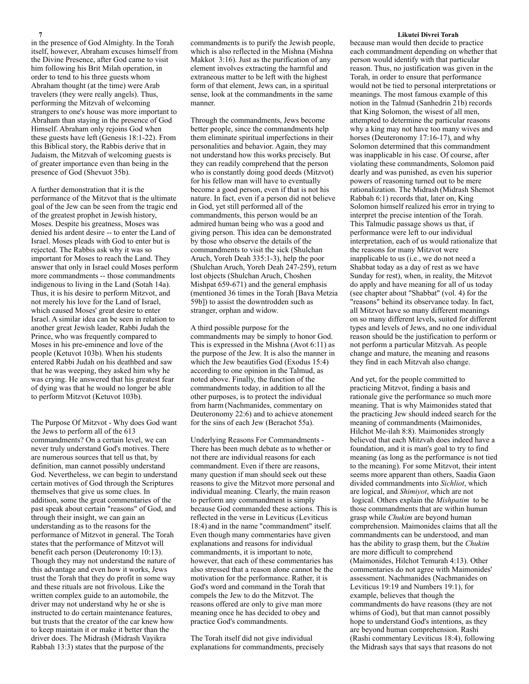in the presence of God Almighty. In the Torah itself, however, Abraham excuses himself from the Divine Presence, after God came to visit him following his Brit Milah operation, in order to tend to his three guests whom Abraham thought (at the time) were Arab travelers (they were really angels). Thus, performing the Mitzvah of welcoming strangers to one's house was more important to Abraham than staying in the presence of God Himself. Abraham only rejoins God when these guests have left (Genesis 18:1-22). From this Biblical story, the Rabbis derive that in Judaism, the Mitzvah of welcoming guests is of greater importance even than being in the presence of God (Shevuot 35b).

A further demonstration that it is the performance of the Mitzvot that is the ultimate goal of the Jew can be seen from the tragic end of the greatest prophet in Jewish history, Moses. Despite his greatness, Moses was denied his ardent desire -- to enter the Land of Israel. Moses pleads with God to enter but is rejected. The Rabbis ask why it was so important for Moses to reach the Land. They answer that only in Israel could Moses perform more commandments -- those commandments indigenous to living in the Land (Sotah 14a). Thus, it is his desire to perform Mitzvot, and not merely his love for the Land of Israel, which caused Moses' great desire to enter Israel. A similar idea can be seen in relation to another great Jewish leader, Rabbi Judah the Prince, who was frequently compared to Moses in his pre-eminence and love of the people (Ketuvot 103b). When his students entered Rabbi Judah on his deathbed and saw that he was weeping, they asked him why he was crying. He answered that his greatest fear of dying was that he would no longer be able to perform Mitzvot (Ketuvot 103b).

The Purpose Of Mitzvot - Why does God want the Jews to perform all of the 613 commandments? On a certain level, we can never truly understand God's motives. There are numerous sources that tell us that, by definition, man cannot possibly understand God. Nevertheless, we can begin to understand certain motives of God through the Scriptures themselves that give us some clues. In addition, some the great commentaries of the past speak about certain "reasons" of God, and through their insight, we can gain an understanding as to the reasons for the performance of Mitzvot in general. The Torah states that the performance of Mitzvot will benefit each person (Deuteronomy 10:13). Though they may not understand the nature of this advantage and even how it works, Jews trust the Torah that they do profit in some way and these rituals are not frivolous. Like the written complex guide to an automobile, the driver may not understand why he or she is instructed to do certain maintenance features, but trusts that the creator of the car knew how to keep maintain it or make it better than the driver does. The Midrash (Midrash Vayikra Rabbah 13:3) states that the purpose of the

commandments is to purify the Jewish people, which is also reflected in the Mishna (Mishna Makkot 3:16). Just as the purification of any element involves extracting the harmful and extraneous matter to be left with the highest form of that element, Jews can, in a spiritual sense, look at the commandments in the same manner.

Through the commandments, Jews become better people, since the commandments help them eliminate spiritual imperfections in their personalities and behavior. Again, they may not understand how this works precisely. But they can readily comprehend that the person who is constantly doing good deeds (Mitzvot) for his fellow man will have to eventually become a good person, even if that is not his nature. In fact, even if a person did not believe in God, yet still performed all of the commandments, this person would be an admired human being who was a good and giving person. This idea can be demonstrated by those who observe the details of the commandments to visit the sick (Shulchan Aruch, Yoreh Deah 335:1-3), help the poor (Shulchan Aruch, Yoreh Deah 247-259), return lost objects (Shulchan Aruch, Choshen Mishpat 659-671) and the general emphasis (mentioned 36 times in the Torah [Bava Metzia 59b]) to assist the downtrodden such as stranger, orphan and widow.

A third possible purpose for the commandments may be simply to honor God. This is expressed in the Mishna (Avot 6:11) as the purpose of the Jew. It is also the manner in which the Jew beautifies God (Exodus 15:4) according to one opinion in the Talmud, as noted above. Finally, the function of the commandments today, in addition to all the other purposes, is to protect the individual from harm (Nachmanides, commentary on Deuteronomy 22:6) and to achieve atonement for the sins of each Jew (Berachot 55a).

Underlying Reasons For Commandments - There has been much debate as to whether or not there are individual reasons for each commandment. Even if there are reasons, many question if man should seek out these reasons to give the Mitzvot more personal and individual meaning. Clearly, the main reason to perform any commandment is simply because God commanded these actions. This is reflected in the verse in Leviticus (Leviticus 18:4) and in the name "commandment" itself. Even though many commentaries have given explanations and reasons for individual commandments, it is important to note, however, that each of these commentaries has also stressed that a reason alone cannot be the motivation for the performance. Rather, it is God's word and command in the Torah that compels the Jew to do the Mitzvot. The reasons offered are only to give man more meaning once he has decided to obey and practice God's commandments.

The Torah itself did not give individual explanations for commandments, precisely

### **7 Likutei Divrei Torah**

because man would then decide to practice each commandment depending on whether that person would identify with that particular reason. Thus, no justification was given in the Torah, in order to ensure that performance would not be tied to personal interpretations or meanings. The most famous example of this notion in the Talmud (Sanhedrin 21b) records that King Solomon, the wisest of all men, attempted to determine the particular reasons why a king may not have too many wives and horses (Deuteronomy 17:16-17), and why Solomon determined that this commandment was inapplicable in his case. Of course, after violating these commandments, Solomon paid dearly and was punished, as even his superior powers of reasoning turned out to be mere rationalization. The Midrash (Midrash Shemot Rabbah 6:1) records that, later on, King Solomon himself realized his error in trying to interpret the precise intention of the Torah. This Talmudic passage shows us that, if performance were left to our individual interpretation, each of us would rationalize that the reasons for many Mitzvot were inapplicable to us (i.e., we do not need a Shabbat today as a day of rest as we have Sunday for rest), when, in reality, the Mitzvot do apply and have meaning for all of us today (see chapter about "Shabbat" (vol. 4) for the "reasons" behind its observance today. In fact, all Mitzvot have so many different meanings on so many different levels, suited for different types and levels of Jews, and no one individual reason should be the justification to perform or not perform a particular Mitzvah. As people change and mature, the meaning and reasons they find in each Mitzvah also change.

And yet, for the people committed to practicing Mitzvot, finding a basis and rationale give the performance so much more meaning. That is why Maimonides stated that the practicing Jew should indeed search for the meaning of commandments (Maimonides, Hilchot Me-ilah 8:8). Maimonides strongly believed that each Mitzvah does indeed have a foundation, and it is man's goal to try to find meaning (as long as the performance is not tied to the meaning). For some Mitzvot, their intent seems more apparent than others, Saadia Gaon divided commandments into *Sichliot*, which are logical, and *Shimiyot*, which are not logical. Others explain the *Mishpatim* to be those commandments that are within human grasp while *Chukim* are beyond human comprehension. Maimonides claims that all the commandments can be understood, and man has the ability to grasp them, but the *Chukim* are more difficult to comprehend (Maimonides, Hilchot Temurah 4:13). Other commentaries do not agree with Maimonides' assessment. Nachmanides (Nachmanides on Leviticus 19:19 and Numbers 19:1), for example, believes that though the commandments do have reasons (they are not whims of God), but that man cannot possibly hope to understand God's intentions, as they are beyond human comprehension. Rashi (Rashi commentary Leviticus 18:4), following the Midrash says that says that reasons do not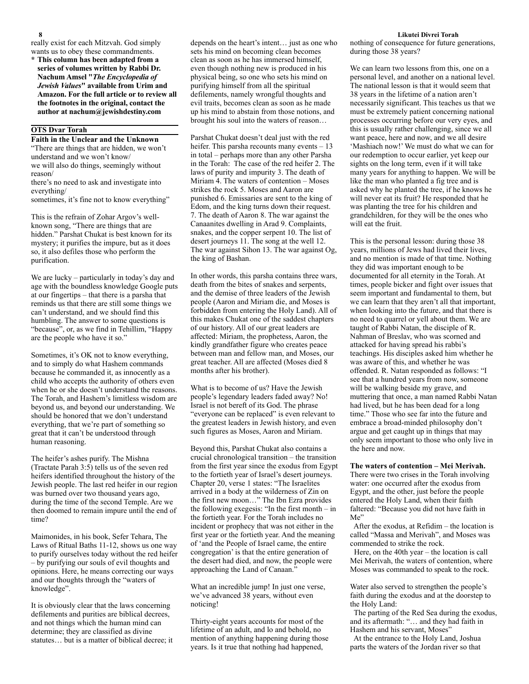really exist for each Mitzvah. God simply wants us to obey these commandments.

**\* This column has been adapted from a series of volumes written by Rabbi Dr. Nachum Amsel "***The Encyclopedia of Jewish Values***" available from Urim and Amazon. For the full article or to review all the footnotes in the original, contact the author at [nachum@jewishdestiny.com](mailto:nachum@jewishdestiny.com)** 

# **OTS Dvar Torah**

**Faith in the Unclear and the Unknown** "There are things that are hidden, we won't understand and we won't know/ we will also do things, seemingly without

reason/ there's no need to ask and investigate into everything/

sometimes, it's fine not to know everything"

This is the refrain of Zohar Argov's wellknown song, "There are things that are hidden." Parshat Chukat is best known for its mystery; it purifies the impure, but as it does so, it also defiles those who perform the purification.

We are lucky – particularly in today's day and age with the boundless knowledge Google puts at our fingertips – that there is a parsha that reminds us that there are still some things we can't understand, and we should find this humbling. The answer to some questions is "because", or, as we find in Tehillim, "Happy are the people who have it so."

Sometimes, it's OK not to know everything, and to simply do what Hashem commands because he commanded it, as innocently as a child who accepts the authority of others even when he or she doesn't understand the reasons. The Torah, and Hashem's limitless wisdom are beyond us, and beyond our understanding. We should be honored that we don't understand everything, that we're part of something so great that it can't be understood through human reasoning.

The heifer's ashes purify. The Mishna (Tractate Parah 3:5) tells us of the seven red heifers identified throughout the history of the Jewish people. The last red heifer in our region was burned over two thousand years ago, during the time of the second Temple. Are we then doomed to remain impure until the end of time?

Maimonides, in his book, Sefer Tehara, The Laws of Ritual Baths 11-12, shows us one way to purify ourselves today without the red heifer – by purifying our souls of evil thoughts and opinions. Here, he means correcting our ways and our thoughts through the "waters of knowledge".

It is obviously clear that the laws concerning defilements and purities are biblical decrees, and not things which the human mind can determine; they are classified as divine statutes… but is a matter of biblical decree; it depends on the heart's intent… just as one who sets his mind on becoming clean becomes clean as soon as he has immersed himself, even though nothing new is produced in his physical being, so one who sets his mind on purifying himself from all the spiritual defilements, namely wrongful thoughts and evil traits, becomes clean as soon as he made up his mind to abstain from those notions, and brought his soul into the waters of reason…

Parshat Chukat doesn't deal just with the red heifer. This parsha recounts many events – 13 in total – perhaps more than any other Parsha in the Torah: The case of the red heifer 2. The laws of purity and impurity 3. The death of Miriam 4. The waters of contention – Moses strikes the rock 5. Moses and Aaron are punished 6. Emissaries are sent to the king of Edom, and the king turns down their request. 7. The death of Aaron 8. The war against the Canaanites dwelling in Arad 9. Complaints, snakes, and the copper serpent 10. The list of desert journeys 11. The song at the well 12. The war against Sihon 13. The war against Og, the king of Bashan.

In other words, this parsha contains three wars, death from the bites of snakes and serpents, and the demise of three leaders of the Jewish people (Aaron and Miriam die, and Moses is forbidden from entering the Holy Land). All of this makes Chukat one of the saddest chapters of our history. All of our great leaders are affected: Miriam, the prophetess, Aaron, the kindly grandfather figure who creates peace between man and fellow man, and Moses, our great teacher. All are affected (Moses died 8 months after his brother).

What is to become of us? Have the Jewish people's legendary leaders faded away? No! Israel is not bereft of its God. The phrase "everyone can be replaced" is even relevant to the greatest leaders in Jewish history, and even such figures as Moses, Aaron and Miriam.

Beyond this, Parshat Chukat also contains a crucial chronological transition – the transition from the first year since the exodus from Egypt to the fortieth year of Israel's desert journeys. Chapter 20, verse 1 states: "The Israelites arrived in a body at the wilderness of Zin on the first new moon…" The Ibn Ezra provides the following exegesis: "In the first month – in the fortieth year. For the Torah includes no incident or prophecy that was not either in the first year or the fortieth year. And the meaning of 'and the People of Israel came, the entire congregation' is that the entire generation of the desert had died, and now, the people were approaching the Land of Canaan."

What an incredible jump! In just one verse, we've advanced 38 years, without even noticing!

Thirty-eight years accounts for most of the lifetime of an adult, and lo and behold, no mention of anything happening during those years. Is it true that nothing had happened,

### **8 Likutei Divrei Torah**

nothing of consequence for future generations, during those 38 years?

We can learn two lessons from this, one on a personal level, and another on a national level. The national lesson is that it would seem that 38 years in the lifetime of a nation aren't necessarily significant. This teaches us that we must be extremely patient concerning national processes occurring before our very eyes, and this is usually rather challenging, since we all want peace, here and now, and we all desire 'Mashiach now!' We must do what we can for our redemption to occur earlier, yet keep our sights on the long term, even if it will take many years for anything to happen. We will be like the man who planted a fig tree and is asked why he planted the tree, if he knows he will never eat its fruit? He responded that he was planting the tree for his children and grandchildren, for they will be the ones who will eat the fruit.

This is the personal lesson: during those 38 years, millions of Jews had lived their lives, and no mention is made of that time. Nothing they did was important enough to be documented for all eternity in the Torah. At times, people bicker and fight over issues that seem important and fundamental to them, but we can learn that they aren't all that important, when looking into the future, and that there is no need to quarrel or yell about them. We are taught of Rabbi Natan, the disciple of R. Nahman of Breslav, who was scorned and attacked for having spread his rabbi's teachings. His disciples asked him whether he was aware of this, and whether he was offended. R. Natan responded as follows: "I see that a hundred years from now, someone will be walking beside my grave, and muttering that once, a man named Rabbi Natan had lived, but he has been dead for a long time." Those who see far into the future and embrace a broad-minded philosophy don't argue and get caught up in things that may only seem important to those who only live in the here and now.

# **The waters of contention – Mei Merivah.**

There were two crises in the Torah involving water: one occurred after the exodus from Egypt, and the other, just before the people entered the Holy Land, when their faith faltered: "Because you did not have faith in Me"

 After the exodus, at Refidim – the location is called "Massa and Merivah", and Moses was commended to strike the rock.

 Here, on the 40th year – the location is call Mei Merivah, the waters of contention, where Moses was commanded to speak to the rock.

Water also served to strengthen the people's faith during the exodus and at the doorstep to the Holy Land:

 The parting of the Red Sea during the exodus, and its aftermath: "… and they had faith in Hashem and his servant, Moses"

 At the entrance to the Holy Land, Joshua parts the waters of the Jordan river so that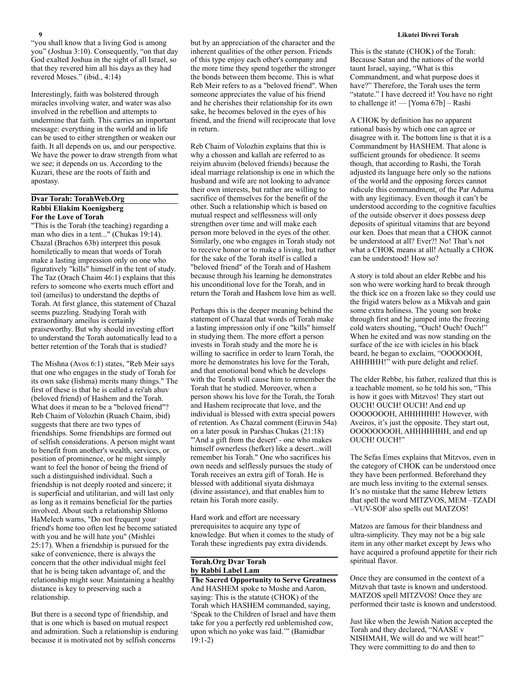"you shall know that a living God is among you" (Joshua 3:10). Consequently, "on that day God exalted Joshua in the sight of all Israel, so that they revered him all his days as they had revered Moses." (ibid., 4:14)

Interestingly, faith was bolstered through miracles involving water, and water was also involved in the rebellion and attempts to undermine that faith. This carries an important message: everything in the world and in life can be used to either strengthen or weaken our faith. It all depends on us, and our perspective. We have the power to draw strength from what we see; it depends on us. According to the Kuzari, these are the roots of faith and apostasy.

# **Dvar Torah: TorahWeb.Org Rabbi Eliakim Koenigsberg For the Love of Torah**

"This is the Torah (the teaching) regarding a man who dies in a tent..." (Chukas 19:14). Chazal (Brachos 63b) interpret this posuk homiletically to mean that words of Torah make a lasting impression only on one who figuratively "kills" himself in the tent of study. The Taz (Orach Chaim 46:1) explains that this refers to someone who exerts much effort and toil (ameilus) to understand the depths of Torah. At first glance, this statement of Chazal seems puzzling. Studying Torah with extraordinary ameilus is certainly praiseworthy. But why should investing effort to understand the Torah automatically lead to a better retention of the Torah that is studied?

The Mishna (Avos 6:1) states, "Reb Meir says that one who engages in the study of Torah for its own sake (lishma) merits many things." The first of these is that he is called a rei'ah ahuv (beloved friend) of Hashem and the Torah. What does it mean to be a "beloved friend"? Reb Chaim of Volozhin (Ruach Chaim, ibid) suggests that there are two types of friendships. Some friendships are formed out of selfish considerations. A person might want to benefit from another's wealth, services, or position of prominence, or he might simply want to feel the honor of being the friend of such a distinguished individual. Such a friendship is not deeply rooted and sincere; it is superficial and utilitarian, and will last only as long as it remains beneficial for the parties involved. About such a relationship Shlomo HaMelech warns, "Do not frequent your friend's home too often lest he become satiated with you and he will hate you" (Mishlei 25:17). When a friendship is pursued for the sake of convenience, there is always the concern that the other individual might feel that he is being taken advantage of, and the relationship might sour. Maintaining a healthy distance is key to preserving such a relationship.

But there is a second type of friendship, and that is one which is based on mutual respect and admiration. Such a relationship is enduring because it is motivated not by selfish concerns

but by an appreciation of the character and the inherent qualities of the other person. Friends of this type enjoy each other's company and the more time they spend together the stronger the bonds between them become. This is what Reb Meir refers to as a "beloved friend". When someone appreciates the value of his friend and he cherishes their relationship for its own sake, he becomes beloved in the eyes of his friend, and the friend will reciprocate that love in return.

Reb Chaim of Volozhin explains that this is why a chosson and kallah are referred to as reiyim ahuvim (beloved friends) because the ideal marriage relationship is one in which the husband and wife are not looking to advance their own interests, but rather are willing to sacrifice of themselves for the benefit of the other. Such a relationship which is based on mutual respect and selflessness will only strengthen over time and will make each person more beloved in the eyes of the other. Similarly, one who engages in Torah study not to receive honor or to make a living, but rather for the sake of the Torah itself is called a "beloved friend" of the Torah and of Hashem because through his learning he demonstrates his unconditional love for the Torah, and in return the Torah and Hashem love him as well.

Perhaps this is the deeper meaning behind the statement of Chazal that words of Torah make a lasting impression only if one "kills" himself in studying them. The more effort a person invests in Torah study and the more he is willing to sacrifice in order to learn Torah, the more he demonstrates his love for the Torah, and that emotional bond which he develops with the Torah will cause him to remember the Torah that he studied. Moreover, when a person shows his love for the Torah, the Torah and Hashem reciprocate that love, and the individual is blessed with extra special powers of retention. As Chazal comment (Eiruvin 54a) on a later posuk in Parshas Chukas (21:18) "'And a gift from the desert' - one who makes himself ownerless (hefker) like a desert...will remember his Torah." One who sacrifices his own needs and selflessly pursues the study of Torah receives an extra gift of Torah. He is blessed with additional siyata dishmaya (divine assistance), and that enables him to retain his Torah more easily.

Hard work and effort are necessary prerequisites to acquire any type of knowledge. But when it comes to the study of Torah these ingredients pay extra dividends.

# **Torah.Org Dvar Torah by Rabbi Label Lam**

**The Sacred Opportunity to Serve Greatness** And HASHEM spoke to Moshe and Aaron, saying: This is the statute (CHOK) of the Torah which HASHEM commanded, saying, 'Speak to the Children of Israel and have them take for you a perfectly red unblemished cow, upon which no yoke was laid.'" (Bamidbar 19:1-2)

### **9 Likutei Divrei Torah**

This is the statute (CHOK) of the Torah: Because Satan and the nations of the world taunt Israel, saying, "What is this Commandment, and what purpose does it have?" Therefore, the Torah uses the term "statute." I have decreed it! You have no right to challenge it! — [Yoma 67b] – Rashi

A CHOK by definition has no apparent rational basis by which one can agree or disagree with it. The bottom line is that it is a Commandment by HASHEM. That alone is sufficient grounds for obedience. It seems though, that according to Rashi, the Torah adjusted its language here only so the nations of the world and the opposing forces cannot ridicule this commandment, of the Par Aduma with any legitimacy. Even though it can't be understood according to the cognitive faculties of the outside observer it does possess deep deposits of spiritual vitamins that are beyond our ken. Does that mean that a CHOK cannot be understood at all? Ever?! No! That's not what a CHOK means at all! Actually a CHOK can be understood! How so?

A story is told about an elder Rebbe and his son who were working hard to break through the thick ice on a frozen lake so they could use the frigid waters below as a Mikvah and gain some extra holiness. The young son broke through first and he jumped into the freezing cold waters shouting, "Ouch! Ouch! Ouch!" When he exited and was now standing on the surface of the ice with icicles in his black beard, he began to exclaim, "OOOOOOH, AHHHHH!" with pure delight and relief.

The elder Rebbe, his father, realized that this is a teachable moment, so he told his son, "This is how it goes with Mitzvos! They start out OUCH! OUCH! OUCH! And end up OOOOOOOH, AHHHHHH! However, with Aveiros, it's just the opposite. They start out, OOOOOOOOH, AHHHHHHH, and end up OUCH! OUCH!"

The Sefas Emes explains that Mitzvos, even in the category of CHOK can be understood once they have been performed. Beforehand they are much less inviting to the external senses. It's no mistake that the same Hebrew letters that spell the word MITZVOS, MEM –TZADI –VUV-SOF also spells out MATZOS!

Matzos are famous for their blandness and ultra-simplicity. They may not be a big sale item in any other market except by Jews who have acquired a profound appetite for their rich spiritual flavor.

Once they are consumed in the context of a Mitzvah that taste is known and understood. MATZOS spell MITZVOS! Once they are performed their taste is known and understood.

Just like when the Jewish Nation accepted the Torah and they declared, "NAASE v NISHMAH, We will do and we will hear!" They were committing to do and then to